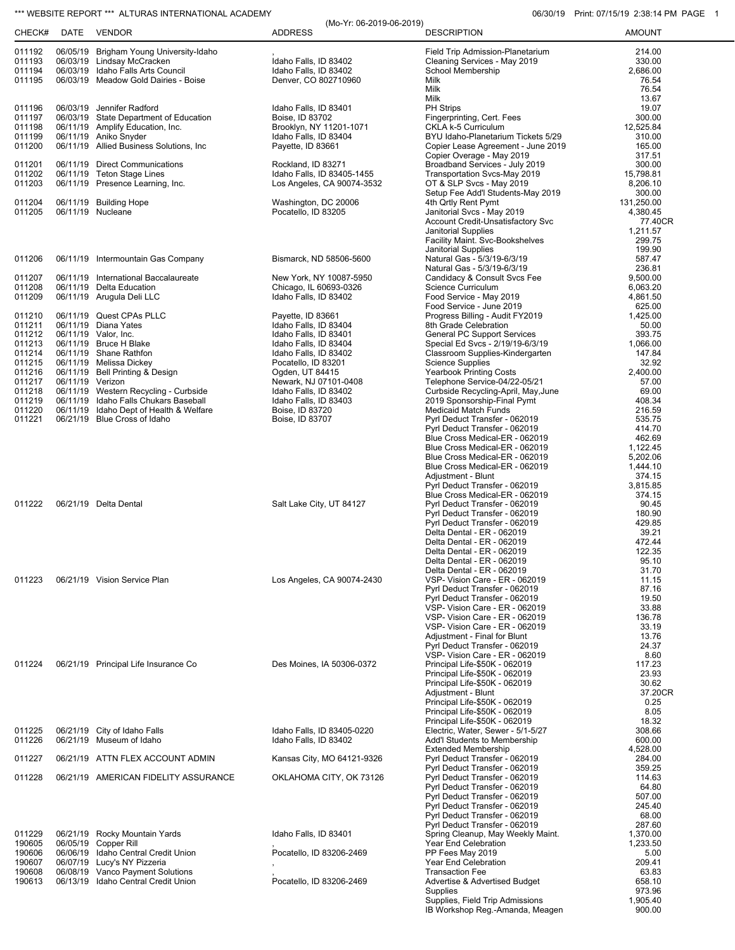## \*\*\* WEBSITE REPORT \*\*\* ALTURAS INTERNATIONAL ACADEMY **CONSUMERY ALT ACCOUNT ACCOUNT OF A CONSUMERTY** 06/30/19 Print: 07/15/19 2:38:14 PM PAGE 1

|                  |                  |                                                                                  | (Mo-Yr: 06-2019-06-2019)                                 |                                                                   | <u>I IIII. UII IUI IU LOU. ITII IVI II</u> |
|------------------|------------------|----------------------------------------------------------------------------------|----------------------------------------------------------|-------------------------------------------------------------------|--------------------------------------------|
| CHECK#           | DATE             | VENDOR                                                                           | <b>ADDRESS</b>                                           | <b>DESCRIPTION</b>                                                | <b>AMOUNT</b>                              |
| 011192           |                  | 06/05/19 Brigham Young University-Idaho                                          |                                                          | Field Trip Admission-Planetarium                                  | 214.00                                     |
| 011193           |                  | 06/03/19 Lindsay McCracken                                                       | Idaho Falls, ID 83402                                    | Cleaning Services - May 2019                                      | 330.00                                     |
| 011194<br>011195 |                  | 06/03/19 Idaho Falls Arts Council<br>06/03/19 Meadow Gold Dairies - Boise        | Idaho Falls, ID 83402<br>Denver, CO 802710960            | School Membership<br>Milk                                         | 2,686.00<br>76.54                          |
|                  |                  |                                                                                  |                                                          | Milk                                                              | 76.54                                      |
| 011196           |                  | 06/03/19 Jennifer Radford                                                        | Idaho Falls, ID 83401                                    | Milk<br>PH Strips                                                 | 13.67<br>19.07                             |
| 011197           |                  | 06/03/19 State Department of Education                                           | Boise, ID 83702                                          | Fingerprinting, Cert. Fees                                        | 300.00                                     |
| 011198           |                  | 06/11/19 Amplify Education, Inc.                                                 | Brooklyn, NY 11201-1071                                  | CKLA k-5 Curriculum                                               | 12,525.84                                  |
| 011199<br>011200 |                  | 06/11/19 Aniko Snyder<br>06/11/19 Allied Business Solutions, Inc                 | Idaho Falls, ID 83404                                    | BYU Idaho-Planetarium Tickets 5/29                                | 310.00<br>165.00                           |
|                  |                  |                                                                                  | Payette, ID 83661                                        | Copier Lease Agreement - June 2019<br>Copier Overage - May 2019   | 317.51                                     |
| 011201           |                  | 06/11/19 Direct Communications                                                   | Rockland, ID 83271                                       | Broadband Services - July 2019                                    | 300.00                                     |
| 011202<br>011203 |                  | 06/11/19 Teton Stage Lines<br>06/11/19 Presence Learning, Inc.                   | Idaho Falls, ID 83405-1455<br>Los Angeles, CA 90074-3532 | Transportation Svcs-May 2019<br>OT & SLP Svcs - May 2019          | 15,798.81<br>8,206.10                      |
|                  |                  |                                                                                  |                                                          | Setup Fee Add'l Students-May 2019                                 | 300.00                                     |
| 011204           |                  | 06/11/19 Building Hope                                                           | Washington, DC 20006                                     | 4th Qrtly Rent Pymt                                               | 131,250.00                                 |
| 011205           |                  | 06/11/19 Nucleane                                                                | Pocatello, ID 83205                                      | Janitorial Svcs - May 2019<br>Account Credit-Unsatisfactory Svc   | 4,380.45<br>77.40CR                        |
|                  |                  |                                                                                  |                                                          | Janitorial Supplies                                               | 1,211.57                                   |
|                  |                  |                                                                                  |                                                          | Facility Maint. Svc-Bookshelves                                   | 299.75                                     |
| 011206           |                  | 06/11/19 Intermountain Gas Company                                               | Bismarck, ND 58506-5600                                  | <b>Janitorial Supplies</b><br>Natural Gas - 5/3/19-6/3/19         | 199.90<br>587.47                           |
|                  |                  |                                                                                  |                                                          | Natural Gas - 5/3/19-6/3/19                                       | 236.81                                     |
| 011207           |                  | 06/11/19 International Baccalaureate                                             | New York, NY 10087-5950                                  | Candidacy & Consult Svcs Fee                                      | 9,500.00                                   |
| 011208<br>011209 |                  | 06/11/19 Delta Education<br>06/11/19 Arugula Deli LLC                            | Chicago, IL 60693-0326<br>Idaho Falls, ID 83402          | Science Curriculum<br>Food Service - May 2019                     | 6,063.20<br>4,861.50                       |
|                  |                  |                                                                                  |                                                          | Food Service - June 2019                                          | 625.00                                     |
| 011210           |                  | 06/11/19 Quest CPAs PLLC                                                         | Payette, ID 83661                                        | Progress Billing - Audit FY2019                                   | 1,425.00                                   |
| 011211<br>011212 |                  | 06/11/19 Diana Yates<br>06/11/19 Valor, Inc.                                     | Idaho Falls, ID 83404<br>Idaho Falls, ID 83401           | 8th Grade Celebration<br><b>General PC Support Services</b>       | 50.00<br>393.75                            |
| 011213           |                  | 06/11/19 Bruce H Blake                                                           | Idaho Falls, ID 83404                                    | Special Ed Svcs - 2/19/19-6/3/19                                  | 1,066.00                                   |
| 011214           |                  | 06/11/19 Shane Rathfon                                                           | Idaho Falls, ID 83402                                    | Classroom Supplies-Kindergarten                                   | 147.84                                     |
| 011215<br>011216 |                  | 06/11/19 Melissa Dickey<br>06/11/19 Bell Printing & Design                       | Pocatello, ID 83201<br>Ogden, UT 84415                   | <b>Science Supplies</b><br><b>Yearbook Printing Costs</b>         | 32.92<br>2,400.00                          |
| 011217           | 06/11/19 Verizon |                                                                                  | Newark, NJ 07101-0408                                    | Telephone Service-04/22-05/21                                     | 57.00                                      |
| 011218           |                  | 06/11/19 Western Recycling - Curbside                                            | Idaho Falls, ID 83402                                    | Curbside Recycling-April, May, June                               | 69.00                                      |
| 011219<br>011220 |                  | 06/11/19 Idaho Falls Chukars Baseball<br>06/11/19 Idaho Dept of Health & Welfare | Idaho Falls, ID 83403<br>Boise, ID 83720                 | 2019 Sponsorship-Final Pymt<br><b>Medicaid Match Funds</b>        | 408.34<br>216.59                           |
| 011221           |                  | 06/21/19 Blue Cross of Idaho                                                     | Boise, ID 83707                                          | Pyrl Deduct Transfer - 062019                                     | 535.75                                     |
|                  |                  |                                                                                  |                                                          | Pyrl Deduct Transfer - 062019                                     | 414.70                                     |
|                  |                  |                                                                                  |                                                          | Blue Cross Medical-ER - 062019<br>Blue Cross Medical-ER - 062019  | 462.69<br>1,122.45                         |
|                  |                  |                                                                                  |                                                          | Blue Cross Medical-ER - 062019                                    | 5,202.06                                   |
|                  |                  |                                                                                  |                                                          | Blue Cross Medical-ER - 062019                                    | 1,444.10                                   |
|                  |                  |                                                                                  |                                                          | Adjustment - Blunt<br>Pyrl Deduct Transfer - 062019               | 374.15<br>3,815.85                         |
|                  |                  |                                                                                  |                                                          | Blue Cross Medical-ER - 062019                                    | 374.15                                     |
| 011222           |                  | 06/21/19 Delta Dental                                                            | Salt Lake City, UT 84127                                 | Pyrl Deduct Transfer - 062019                                     | 90.45                                      |
|                  |                  |                                                                                  |                                                          | Pyrl Deduct Transfer - 062019<br>Pyrl Deduct Transfer - 062019    | 180.90<br>429.85                           |
|                  |                  |                                                                                  |                                                          | Delta Dental - ER - 062019                                        | 39.21                                      |
|                  |                  |                                                                                  |                                                          | Delta Dental - ER - 062019<br>Delta Dental - ER - 062019          | 472.44<br>122.35                           |
|                  |                  |                                                                                  |                                                          | Delta Dental - ER - 062019                                        | 95.10                                      |
|                  |                  |                                                                                  |                                                          | Delta Dental - ER - 062019                                        | 31.70                                      |
| 011223           |                  | 06/21/19 Vision Service Plan                                                     | Los Angeles, CA 90074-2430                               | VSP- Vision Care - ER - 062019<br>Pyrl Deduct Transfer - 062019   | 11.15<br>87.16                             |
|                  |                  |                                                                                  |                                                          | Pyrl Deduct Transfer - 062019                                     | 19.50                                      |
|                  |                  |                                                                                  |                                                          | VSP- Vision Care - ER - 062019                                    | 33.88                                      |
|                  |                  |                                                                                  |                                                          | VSP- Vision Care - ER - 062019<br>VSP- Vision Care - ER - 062019  | 136.78<br>33.19                            |
|                  |                  |                                                                                  |                                                          | Adjustment - Final for Blunt                                      | 13.76                                      |
|                  |                  |                                                                                  |                                                          | Pyrl Deduct Transfer - 062019                                     | 24.37                                      |
| 011224           |                  | 06/21/19 Principal Life Insurance Co                                             | Des Moines, IA 50306-0372                                | VSP- Vision Care - ER - 062019<br>Principal Life-\$50K - 062019   | 8.60<br>117.23                             |
|                  |                  |                                                                                  |                                                          | Principal Life-\$50K - 062019                                     | 23.93                                      |
|                  |                  |                                                                                  |                                                          | Principal Life-\$50K - 062019                                     | 30.62                                      |
|                  |                  |                                                                                  |                                                          | Adjustment - Blunt<br>Principal Life-\$50K - 062019               | 37.20CR<br>0.25                            |
|                  |                  |                                                                                  |                                                          | Principal Life-\$50K - 062019                                     | 8.05                                       |
|                  |                  |                                                                                  |                                                          | Principal Life-\$50K - 062019                                     | 18.32                                      |
| 011225<br>011226 |                  | 06/21/19 City of Idaho Falls<br>06/21/19 Museum of Idaho                         | Idaho Falls, ID 83405-0220<br>Idaho Falls, ID 83402      | Electric, Water, Sewer - 5/1-5/27<br>Add'l Students to Membership | 308.66<br>600.00                           |
|                  |                  |                                                                                  |                                                          | <b>Extended Membership</b>                                        | 4,528.00                                   |
| 011227           |                  | 06/21/19 ATTN FLEX ACCOUNT ADMIN                                                 | Kansas City, MO 64121-9326                               | Pyrl Deduct Transfer - 062019                                     | 284.00                                     |
| 011228           |                  | 06/21/19 AMERICAN FIDELITY ASSURANCE                                             | OKLAHOMA CITY, OK 73126                                  | Pyrl Deduct Transfer - 062019<br>Pyrl Deduct Transfer - 062019    | 359.25<br>114.63                           |
|                  |                  |                                                                                  |                                                          | Pyrl Deduct Transfer - 062019                                     | 64.80                                      |
|                  |                  |                                                                                  |                                                          | Pyrl Deduct Transfer - 062019<br>Pyrl Deduct Transfer - 062019    | 507.00<br>245.40                           |
|                  |                  |                                                                                  |                                                          | Pyrl Deduct Transfer - 062019                                     | 68.00                                      |
|                  |                  |                                                                                  |                                                          | Pyrl Deduct Transfer - 062019                                     | 287.60                                     |
| 011229<br>190605 |                  | 06/21/19 Rocky Mountain Yards<br>06/05/19 Copper Rill                            | Idaho Falls, ID 83401                                    | Spring Cleanup, May Weekly Maint.<br>Year End Celebration         | 1,370.00<br>1,233.50                       |
| 190606           |                  | 06/06/19 Idaho Central Credit Union                                              | Pocatello, ID 83206-2469                                 | PP Fees May 2019                                                  | 5.00                                       |
| 190607           |                  | 06/07/19 Lucy's NY Pizzeria                                                      |                                                          | Year End Celebration                                              | 209.41                                     |
| 190608<br>190613 |                  | 06/08/19 Vanco Payment Solutions<br>06/13/19 Idaho Central Credit Union          | Pocatello, ID 83206-2469                                 | <b>Transaction Fee</b><br>Advertise & Advertised Budget           | 63.83<br>658.10                            |
|                  |                  |                                                                                  |                                                          | Supplies                                                          | 973.96                                     |
|                  |                  |                                                                                  |                                                          | Supplies, Field Trip Admissions                                   | 1,905.40                                   |
|                  |                  |                                                                                  |                                                          | IB Workshop Reg.-Amanda, Meagen                                   | 900.00                                     |